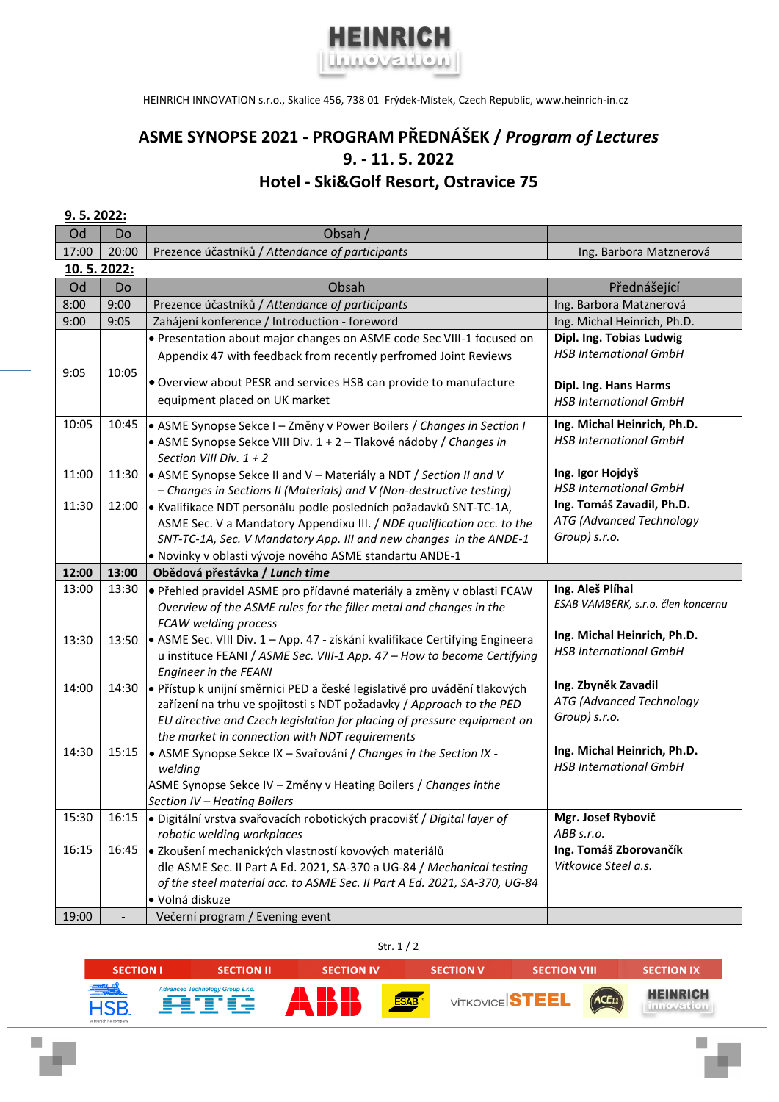

HEINRICH INNOVATION s.r.o., Skalice 456, 738 01 Frýdek-Místek, Czech Republic, www.heinrich-in.cz

## **ASME SYNOPSE 2021 - PROGRAM PŘEDNÁŠEK /** *Program of Lectures* **9. - 11. 5. 2022 Hotel - Ski&Golf Resort, Ostravice 75**

## **9. 5. 2022:**

| Od         | Do    | Obsah /                                                                                                                                      |                                                              |  |  |  |  |  |
|------------|-------|----------------------------------------------------------------------------------------------------------------------------------------------|--------------------------------------------------------------|--|--|--|--|--|
| 17:00      | 20:00 | Prezence účastníků / Attendance of participants                                                                                              | Ing. Barbora Matznerová                                      |  |  |  |  |  |
| 10.5.2022: |       |                                                                                                                                              |                                                              |  |  |  |  |  |
| Od         | Do    | Obsah                                                                                                                                        | Přednášející                                                 |  |  |  |  |  |
| 8:00       | 9:00  | Prezence účastníků / Attendance of participants                                                                                              | Ing. Barbora Matznerová                                      |  |  |  |  |  |
| 9:00       | 9:05  | Zahájení konference / Introduction - foreword                                                                                                | Ing. Michal Heinrich, Ph.D.                                  |  |  |  |  |  |
|            |       | · Presentation about major changes on ASME code Sec VIII-1 focused on                                                                        | Dipl. Ing. Tobias Ludwig                                     |  |  |  |  |  |
|            |       | Appendix 47 with feedback from recently perfromed Joint Reviews                                                                              | <b>HSB International GmbH</b>                                |  |  |  |  |  |
| 9:05       | 10:05 |                                                                                                                                              |                                                              |  |  |  |  |  |
|            |       | . Overview about PESR and services HSB can provide to manufacture                                                                            | Dipl. Ing. Hans Harms                                        |  |  |  |  |  |
|            |       | equipment placed on UK market                                                                                                                | <b>HSB International GmbH</b>                                |  |  |  |  |  |
| 10:05      | 10:45 | • ASME Synopse Sekce I - Změny v Power Boilers / Changes in Section I                                                                        | Ing. Michal Heinrich, Ph.D.                                  |  |  |  |  |  |
|            |       | • ASME Synopse Sekce VIII Div. 1 + 2 - Tlakové nádoby / Changes in                                                                           | <b>HSB International GmbH</b>                                |  |  |  |  |  |
|            |       | Section VIII Div. $1 + 2$                                                                                                                    |                                                              |  |  |  |  |  |
| 11:00      | 11:30 | • ASME Synopse Sekce II and V - Materiály a NDT / Section II and V                                                                           | Ing. Igor Hojdyš                                             |  |  |  |  |  |
|            |       | - Changes in Sections II (Materials) and V (Non-destructive testing)                                                                         | <b>HSB International GmbH</b>                                |  |  |  |  |  |
| 11:30      | 12:00 | · Kvalifikace NDT personálu podle posledních požadavků SNT-TC-1A,                                                                            | Ing. Tomáš Zavadil, Ph.D.<br>ATG (Advanced Technology        |  |  |  |  |  |
|            |       | ASME Sec. V a Mandatory Appendixu III. / NDE qualification acc. to the<br>SNT-TC-1A, Sec. V Mandatory App. III and new changes in the ANDE-1 | Group) s.r.o.                                                |  |  |  |  |  |
|            |       | · Novinky v oblasti vývoje nového ASME standartu ANDE-1                                                                                      |                                                              |  |  |  |  |  |
| 12:00      | 13:00 | Obědová přestávka / Lunch time                                                                                                               |                                                              |  |  |  |  |  |
| 13:00      | 13:30 | · Přehled pravidel ASME pro přídavné materiály a změny v oblasti FCAW                                                                        | Ing. Aleš Plíhal                                             |  |  |  |  |  |
|            |       | Overview of the ASME rules for the filler metal and changes in the                                                                           | ESAB VAMBERK, s.r.o. člen koncernu                           |  |  |  |  |  |
|            |       | FCAW welding process                                                                                                                         |                                                              |  |  |  |  |  |
| 13:30      | 13:50 | • ASME Sec. VIII Div. 1 - App. 47 - získání kvalifikace Certifying Engineera                                                                 | Ing. Michal Heinrich, Ph.D.                                  |  |  |  |  |  |
|            |       | u instituce FEANI / ASME Sec. VIII-1 App. 47 - How to become Certifying                                                                      | <b>HSB International GmbH</b>                                |  |  |  |  |  |
|            |       | Engineer in the FEANI                                                                                                                        |                                                              |  |  |  |  |  |
| 14:00      | 14:30 | · Přístup k unijní směrnici PED a české legislativě pro uvádění tlakových                                                                    | Ing. Zbyněk Zavadil                                          |  |  |  |  |  |
|            |       | zařízení na trhu ve spojitosti s NDT požadavky / Approach to the PED                                                                         | ATG (Advanced Technology                                     |  |  |  |  |  |
|            |       | EU directive and Czech legislation for placing of pressure equipment on                                                                      | Group) s.r.o.                                                |  |  |  |  |  |
|            |       | the market in connection with NDT requirements                                                                                               |                                                              |  |  |  |  |  |
| 14:30      | 15:15 | • ASME Synopse Sekce IX - Svařování / Changes in the Section IX -                                                                            | Ing. Michal Heinrich, Ph.D.<br><b>HSB International GmbH</b> |  |  |  |  |  |
|            |       | welding                                                                                                                                      |                                                              |  |  |  |  |  |
|            |       | ASME Synopse Sekce IV - Změny v Heating Boilers / Changes inthe<br>Section IV - Heating Boilers                                              |                                                              |  |  |  |  |  |
| 15:30      | 16:15 | ● Digitální vrstva svařovacích robotických pracovišť / Digital layer of                                                                      | Mgr. Josef Rybovič                                           |  |  |  |  |  |
|            |       | robotic welding workplaces                                                                                                                   | ABB s.r.o.                                                   |  |  |  |  |  |
| 16:15      | 16:45 | · Zkoušení mechanických vlastností kovových materiálů                                                                                        | Ing. Tomáš Zborovančík                                       |  |  |  |  |  |
|            |       | dle ASME Sec. II Part A Ed. 2021, SA-370 a UG-84 / Mechanical testing                                                                        | Vitkovice Steel a.s.                                         |  |  |  |  |  |
|            |       | of the steel material acc. to ASME Sec. II Part A Ed. 2021, SA-370, UG-84                                                                    |                                                              |  |  |  |  |  |
|            |       | · Volná diskuze                                                                                                                              |                                                              |  |  |  |  |  |
| 19:00      |       | Večerní program / Evening event                                                                                                              |                                                              |  |  |  |  |  |

## Str. 1 / 2

| <b>SECTION I</b>     | <b>SECTION II</b>                                        | <b>SECTION IV</b> | <b>SECTION V</b> | <b>SECTION VIII</b>             | <b>SECTION IX</b> |
|----------------------|----------------------------------------------------------|-------------------|------------------|---------------------------------|-------------------|
| 春秋<br>$\mathsf{HSB}$ | <b>Advanced Technology Group s.r.o.</b><br><u>. Jene</u> |                   | <b>ESAB</b>      | ACE11<br><b>VÍTKOVICE STEEL</b> | <b>HEINDIGH</b>   |